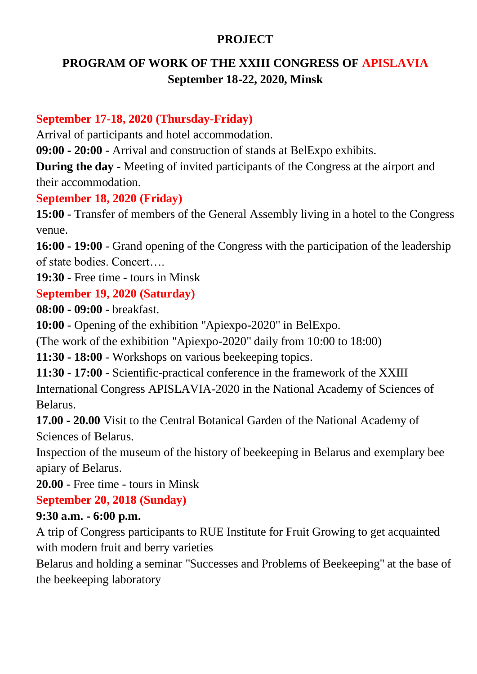#### **PROJECT**

## **PROGRAM OF WORK OF THE XXIII CONGRESS OF APISLAVIA September 18-22, 2020, Minsk**

#### **September 17-18, 2020 (Thursday-Friday)**

Arrival of participants and hotel accommodation.

**09:00 - 20:00** - Arrival and construction of stands at BelExpo exhibits.

**During the day** - Meeting of invited participants of the Congress at the airport and their accommodation.

#### **September 18, 2020 (Friday)**

**15:00** - Transfer of members of the General Assembly living in a hotel to the Congress venue.

**16:00 - 19:00** - Grand opening of the Congress with the participation of the leadership of state bodies. Concert….

**19:30** - Free time - tours in Minsk

### **September 19, 2020 (Saturday)**

**08:00 - 09:00** - breakfast.

**10:00** - Opening of the exhibition "Apiexpo-2020" in BelExpo.

(The work of the exhibition "Apiexpo-2020" daily from 10:00 to 18:00)

**11:30 - 18:00** - Workshops on various beekeeping topics.

**11:30 - 17:00** - Scientific-practical conference in the framework of the XXIII International Congress APISLAVIA-2020 in the National Academy of Sciences of Belarus.

**17.00 - 20.00** Visit to the Central Botanical Garden of the National Academy of Sciences of Belarus.

Inspection of the museum of the history of beekeeping in Belarus and exemplary bee apiary of Belarus.

**20.00** - Free time - tours in Minsk

## **September 20, 2018 (Sunday)**

### **9:30 a.m. - 6:00 p.m.**

A trip of Congress participants to RUE Institute for Fruit Growing to get acquainted with modern fruit and berry varieties

Belarus and holding a seminar "Successes and Problems of Beekeeping" at the base of the beekeeping laboratory